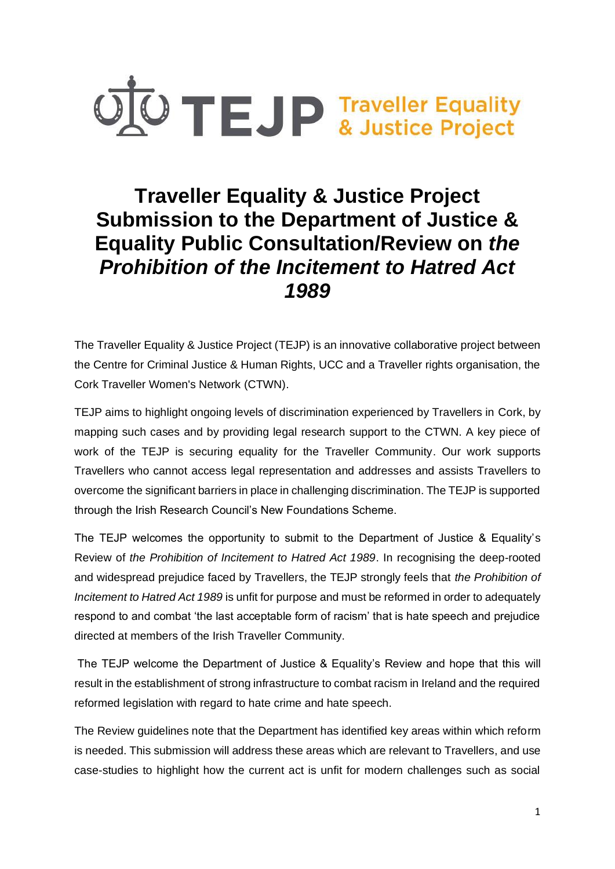

# **Traveller Equality & Justice Project Submission to the Department of Justice & Equality Public Consultation/Review on** *the Prohibition of the Incitement to Hatred Act 1989*

The Traveller Equality & Justice Project (TEJP) is an innovative collaborative project between the Centre for Criminal Justice & Human Rights, UCC and a Traveller rights organisation, the Cork Traveller Women's Network (CTWN).

TEJP aims to highlight ongoing levels of discrimination experienced by Travellers in Cork, by mapping such cases and by providing legal research support to the CTWN. A key piece of work of the TEJP is securing equality for the Traveller Community. Our work supports Travellers who cannot access legal representation and addresses and assists Travellers to overcome the significant barriers in place in challenging discrimination. The TEJP is supported through the Irish Research Council's New Foundations Scheme.

The TEJP welcomes the opportunity to submit to the Department of Justice & Equality's Review of *the Prohibition of Incitement to Hatred Act 1989*. In recognising the deep-rooted and widespread prejudice faced by Travellers, the TEJP strongly feels that *the Prohibition of Incitement to Hatred Act 1989* is unfit for purpose and must be reformed in order to adequately respond to and combat 'the last acceptable form of racism' that is hate speech and prejudice directed at members of the Irish Traveller Community.

The TEJP welcome the Department of Justice & Equality's Review and hope that this will result in the establishment of strong infrastructure to combat racism in Ireland and the required reformed legislation with regard to hate crime and hate speech.

The Review guidelines note that the Department has identified key areas within which reform is needed. This submission will address these areas which are relevant to Travellers, and use case-studies to highlight how the current act is unfit for modern challenges such as social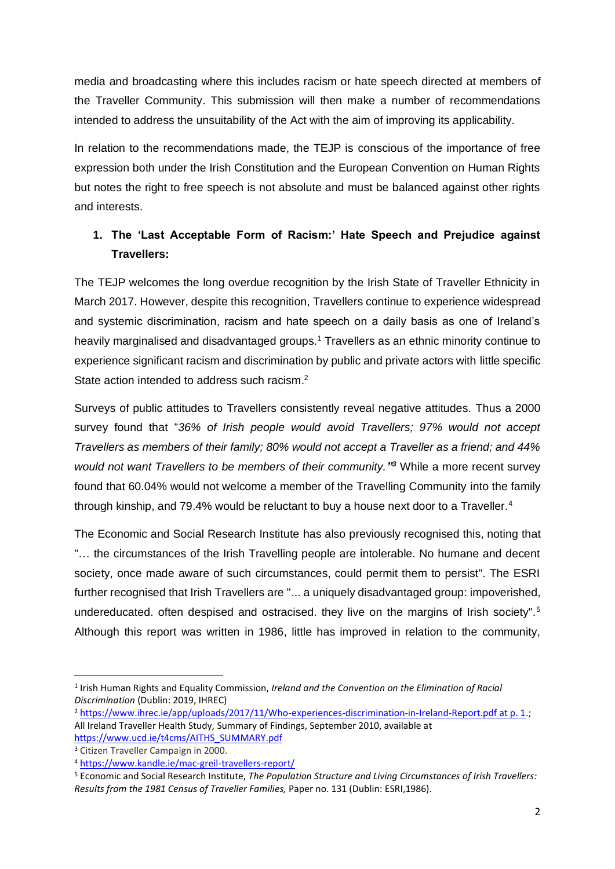media and broadcasting where this includes racism or hate speech directed at members of the Traveller Community. This submission will then make a number of recommendations intended to address the unsuitability of the Act with the aim of improving its applicability.

In relation to the recommendations made, the TEJP is conscious of the importance of free expression both under the Irish Constitution and the European Convention on Human Rights but notes the right to free speech is not absolute and must be balanced against other rights and interests.

## **1. The 'Last Acceptable Form of Racism:' Hate Speech and Prejudice against Travellers:**

The TEJP welcomes the long overdue recognition by the Irish State of Traveller Ethnicity in March 2017. However, despite this recognition, Travellers continue to experience widespread and systemic discrimination, racism and hate speech on a daily basis as one of Ireland's heavily marginalised and disadvantaged groups.<sup>1</sup> Travellers as an ethnic minority continue to experience significant racism and discrimination by public and private actors with little specific State action intended to address such racism.<sup>2</sup>

Surveys of public attitudes to Travellers consistently reveal negative attitudes. Thus a 2000 survey found that "*36% of Irish people would avoid Travellers; 97% would not accept Travellers as members of their family; 80% would not accept a Traveller as a friend; and 44% would not want Travellers to be members of their community." <sup>3</sup>* While a more recent survey found that 60.04% would not welcome a member of the Travelling Community into the family through kinship, and 79.4% would be reluctant to buy a house next door to a Traveller.<sup>4</sup>

The Economic and Social Research Institute has also previously recognised this, noting that "… the circumstances of the Irish Travelling people are intolerable. No humane and decent society, once made aware of such circumstances, could permit them to persist". The ESRI further recognised that Irish Travellers are "... a uniquely disadvantaged group: impoverished, undereducated. often despised and ostracised. they live on the margins of Irish society".<sup>5</sup> Although this report was written in 1986, little has improved in relation to the community,

<sup>&</sup>lt;sup>1</sup> Irish Human Rights and Equality Commission, *Ireland and the Convention on the Elimination of Racial Discrimination* (Dublin: 2019, IHREC)

<sup>2</sup> [https://www.ihrec.ie/app/uploads/2017/11/Who-experiences-discrimination-in-Ireland-Report.pdf at p. 1.](https://www.ihrec.ie/app/uploads/2017/11/Who-experiences-discrimination-in-Ireland-Report.pdf%20at%20p.%201); All Ireland Traveller Health Study, Summary of Findings, September 2010, available at [https://www.ucd.ie/t4cms/AITHS\\_SUMMARY.pdf](https://www.ucd.ie/t4cms/AITHS_SUMMARY.pdf)

<sup>3</sup> Citizen Traveller Campaign in 2000.

<sup>4</sup> <https://www.kandle.ie/mac-greil-travellers-report/>

<sup>5</sup> Economic and Social Research Institute, *The Population Structure and Living Circumstances of Irish Travellers: Results from the 1981 Census of Traveller Families,* Paper no. 131 (Dublin: ESRI,1986).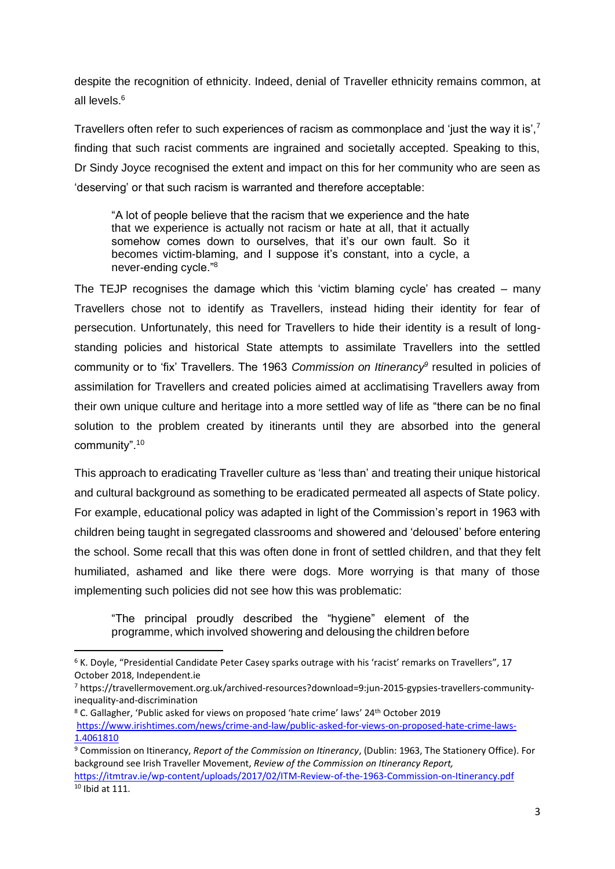despite the recognition of ethnicity. Indeed, denial of Traveller ethnicity remains common, at all levels <sup>6</sup>

Travellers often refer to such experiences of racism as commonplace and 'just the way it is',<sup>7</sup> finding that such racist comments are ingrained and societally accepted. Speaking to this, Dr Sindy Joyce recognised the extent and impact on this for her community who are seen as 'deserving' or that such racism is warranted and therefore acceptable:

"A lot of people believe that the racism that we experience and the hate that we experience is actually not racism or hate at all, that it actually somehow comes down to ourselves, that it's our own fault. So it becomes victim-blaming, and I suppose it's constant, into a cycle, a never-ending cycle."<sup>8</sup>

The TEJP recognises the damage which this 'victim blaming cycle' has created – many Travellers chose not to identify as Travellers, instead hiding their identity for fear of persecution. Unfortunately, this need for Travellers to hide their identity is a result of longstanding policies and historical State attempts to assimilate Travellers into the settled community or to 'fix' Travellers. The 1963 *Commission on Itinerancy<sup>9</sup>* resulted in policies of assimilation for Travellers and created policies aimed at acclimatising Travellers away from their own unique culture and heritage into a more settled way of life as "there can be no final solution to the problem created by itinerants until they are absorbed into the general community".<sup>10</sup>

This approach to eradicating Traveller culture as 'less than' and treating their unique historical and cultural background as something to be eradicated permeated all aspects of State policy. For example, educational policy was adapted in light of the Commission's report in 1963 with children being taught in segregated classrooms and showered and 'deloused' before entering the school. Some recall that this was often done in front of settled children, and that they felt humiliated, ashamed and like there were dogs. More worrying is that many of those implementing such policies did not see how this was problematic:

"The principal proudly described the "hygiene" element of the programme, which involved showering and delousing the children before

<sup>&</sup>lt;sup>6</sup> K. Doyle, "Presidential Candidate Peter Casey sparks outrage with his 'racist' remarks on Travellers", 17 October 2018, Independent.ie

<sup>7</sup> https://travellermovement.org.uk/archived-resources?download=9:jun-2015-gypsies-travellers-communityinequality-and-discrimination

<sup>8</sup> C. Gallagher, 'Public asked for views on proposed 'hate crime' laws' 24th October 2019 [https://www.irishtimes.com/news/crime-and-law/public-asked-for-views-on-proposed-hate-crime-laws-](https://www.irishtimes.com/news/crime-and-law/public-asked-for-views-on-proposed-hate-crime-laws-1.4061810)[1.4061810](https://www.irishtimes.com/news/crime-and-law/public-asked-for-views-on-proposed-hate-crime-laws-1.4061810)

<sup>9</sup> Commission on Itinerancy, *Report of the Commission on Itinerancy*, (Dublin: 1963, The Stationery Office). For background see Irish Traveller Movement, *Review of the Commission on Itinerancy Report,*  <https://itmtrav.ie/wp-content/uploads/2017/02/ITM-Review-of-the-1963-Commission-on-Itinerancy.pdf>  $10$  Ibid at 111.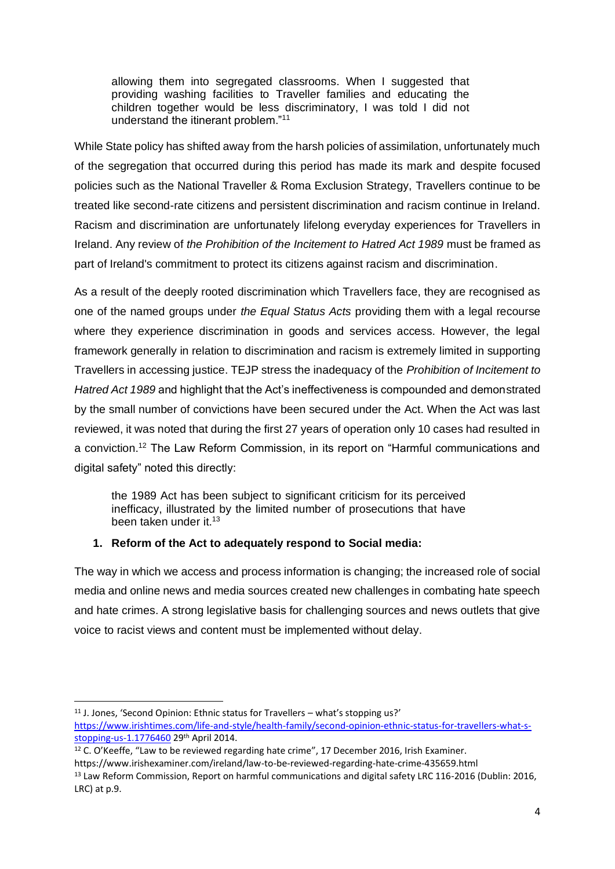allowing them into segregated classrooms. When I suggested that providing washing facilities to Traveller families and educating the children together would be less discriminatory, I was told I did not understand the itinerant problem."<sup>11</sup>

While State policy has shifted away from the harsh policies of assimilation, unfortunately much of the segregation that occurred during this period has made its mark and despite focused policies such as the National Traveller & Roma Exclusion Strategy, Travellers continue to be treated like second-rate citizens and persistent discrimination and racism continue in Ireland. Racism and discrimination are unfortunately lifelong everyday experiences for Travellers in Ireland. Any review of *the Prohibition of the Incitement to Hatred Act 1989* must be framed as part of Ireland's commitment to protect its citizens against racism and discrimination.

As a result of the deeply rooted discrimination which Travellers face, they are recognised as one of the named groups under *the Equal Status Acts* providing them with a legal recourse where they experience discrimination in goods and services access. However, the legal framework generally in relation to discrimination and racism is extremely limited in supporting Travellers in accessing justice. TEJP stress the inadequacy of the *Prohibition of Incitement to Hatred Act 1989* and highlight that the Act's ineffectiveness is compounded and demonstrated by the small number of convictions have been secured under the Act. When the Act was last reviewed, it was noted that during the first 27 years of operation only 10 cases had resulted in a conviction.<sup>12</sup> The Law Reform Commission, in its report on "Harmful communications and digital safety" noted this directly:

the 1989 Act has been subject to significant criticism for its perceived inefficacy, illustrated by the limited number of prosecutions that have been taken under it.<sup>13</sup>

## **1. Reform of the Act to adequately respond to Social media:**

The way in which we access and process information is changing; the increased role of social media and online news and media sources created new challenges in combating hate speech and hate crimes. A strong legislative basis for challenging sources and news outlets that give voice to racist views and content must be implemented without delay.

<sup>&</sup>lt;sup>11</sup> J. Jones, 'Second Opinion: Ethnic status for Travellers – what's stopping us?' [https://www.irishtimes.com/life-and-style/health-family/second-opinion-ethnic-status-for-travellers-what-s](https://www.irishtimes.com/life-and-style/health-family/second-opinion-ethnic-status-for-travellers-what-s-stopping-us-1.1776460)[stopping-us-1.1776460](https://www.irishtimes.com/life-and-style/health-family/second-opinion-ethnic-status-for-travellers-what-s-stopping-us-1.1776460) 29th April 2014.

<sup>&</sup>lt;sup>12</sup> C. O'Keeffe, "Law to be reviewed regarding hate crime", 17 December 2016, Irish Examiner. https://www.irishexaminer.com/ireland/law-to-be-reviewed-regarding-hate-crime-435659.html <sup>13</sup> Law Reform Commission, Report on harmful communications and digital safety LRC 116-2016 (Dublin: 2016, LRC) at p.9.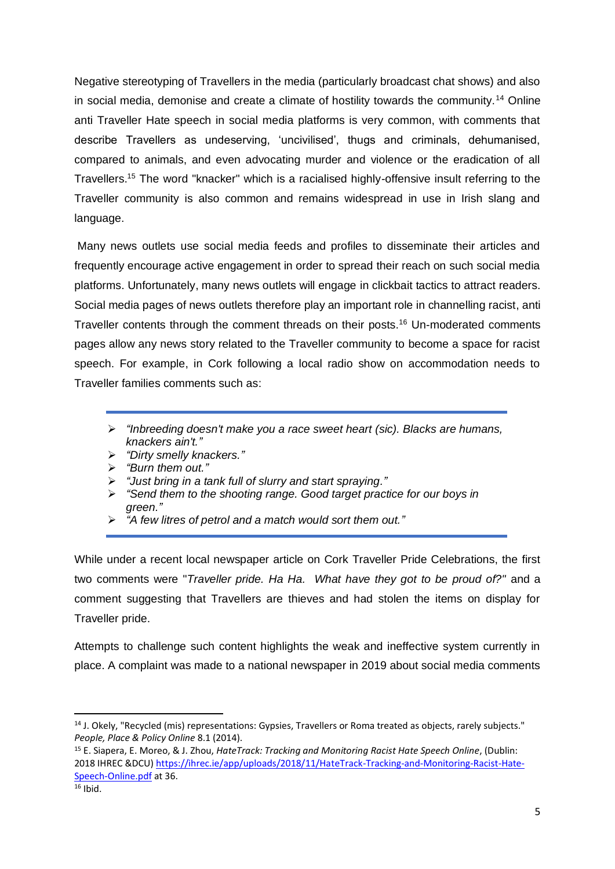Negative stereotyping of Travellers in the media (particularly broadcast chat shows) and also in social media, demonise and create a climate of hostility towards the community.<sup>14</sup> Online anti Traveller Hate speech in social media platforms is very common, with comments that describe Travellers as undeserving, 'uncivilised', thugs and criminals, dehumanised, compared to animals, and even advocating murder and violence or the eradication of all Travellers.<sup>15</sup> The word "knacker" which is a racialised highly-offensive insult referring to the Traveller community is also common and remains widespread in use in Irish slang and language.

Many news outlets use social media feeds and profiles to disseminate their articles and frequently encourage active engagement in order to spread their reach on such social media platforms. Unfortunately, many news outlets will engage in clickbait tactics to attract readers. Social media pages of news outlets therefore play an important role in channelling racist, anti Traveller contents through the comment threads on their posts.<sup>16</sup> Un-moderated comments pages allow any news story related to the Traveller community to become a space for racist speech. For example, in Cork following a local radio show on accommodation needs to Traveller families comments such as:

- ➢ *"Inbreeding doesn't make you a race sweet heart (sic). Blacks are humans, knackers ain't."*
- ➢ *"Dirty smelly knackers."*
- ➢ *"Burn them out."*
- ➢ *"Just bring in a tank full of slurry and start spraying."*
- ➢ *"Send them to the shooting range. Good target practice for our boys in green."*
- ➢ *"A few litres of petrol and a match would sort them out."*

While under a recent local newspaper article on Cork Traveller Pride Celebrations, the first two comments were "*Traveller pride. Ha Ha. What have they got to be proud of?"* and a comment suggesting that Travellers are thieves and had stolen the items on display for Traveller pride.

Attempts to challenge such content highlights the weak and ineffective system currently in place. A complaint was made to a national newspaper in 2019 about social media comments

<sup>14</sup> J. Okely, "Recycled (mis) representations: Gypsies, Travellers or Roma treated as objects, rarely subjects." *People, Place & Policy Online* 8.1 (2014).

<sup>15</sup> E. Siapera, E. Moreo, & J. Zhou, *HateTrack: Tracking and Monitoring Racist Hate Speech Online*, (Dublin: 2018 IHREC &DCU) [https://ihrec.ie/app/uploads/2018/11/HateTrack-Tracking-and-Monitoring-Racist-Hate-](https://ihrec.ie/app/uploads/2018/11/HateTrack-Tracking-and-Monitoring-Racist-Hate-Speech-Online.pdf)[Speech-Online.pdf](https://ihrec.ie/app/uploads/2018/11/HateTrack-Tracking-and-Monitoring-Racist-Hate-Speech-Online.pdf) at 36.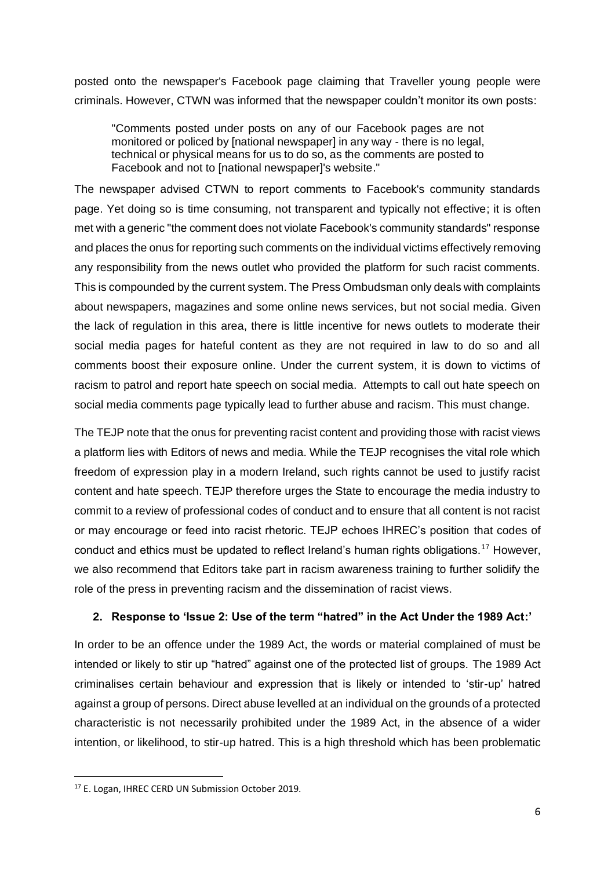posted onto the newspaper's Facebook page claiming that Traveller young people were criminals. However, CTWN was informed that the newspaper couldn't monitor its own posts:

"Comments posted under posts on any of our Facebook pages are not monitored or policed by [national newspaper] in any way - there is no legal, technical or physical means for us to do so, as the comments are posted to Facebook and not to [national newspaper]'s website."

The newspaper advised CTWN to report comments to Facebook's community standards page. Yet doing so is time consuming, not transparent and typically not effective; it is often met with a generic "the comment does not violate Facebook's community standards" response and places the onus for reporting such comments on the individual victims effectively removing any responsibility from the news outlet who provided the platform for such racist comments. This is compounded by the current system. The Press Ombudsman only deals with complaints about newspapers, magazines and some online news services, but not social media. Given the lack of regulation in this area, there is little incentive for news outlets to moderate their social media pages for hateful content as they are not required in law to do so and all comments boost their exposure online. Under the current system, it is down to victims of racism to patrol and report hate speech on social media. Attempts to call out hate speech on social media comments page typically lead to further abuse and racism. This must change.

The TEJP note that the onus for preventing racist content and providing those with racist views a platform lies with Editors of news and media. While the TEJP recognises the vital role which freedom of expression play in a modern Ireland, such rights cannot be used to justify racist content and hate speech. TEJP therefore urges the State to encourage the media industry to commit to a review of professional codes of conduct and to ensure that all content is not racist or may encourage or feed into racist rhetoric. TEJP echoes IHREC's position that codes of conduct and ethics must be updated to reflect Ireland's human rights obligations.<sup>17</sup> However, we also recommend that Editors take part in racism awareness training to further solidify the role of the press in preventing racism and the dissemination of racist views.

### **2. Response to 'Issue 2: Use of the term "hatred" in the Act Under the 1989 Act:'**

In order to be an offence under the 1989 Act, the words or material complained of must be intended or likely to stir up "hatred" against one of the protected list of groups. The 1989 Act criminalises certain behaviour and expression that is likely or intended to 'stir-up' hatred against a group of persons. Direct abuse levelled at an individual on the grounds of a protected characteristic is not necessarily prohibited under the 1989 Act, in the absence of a wider intention, or likelihood, to stir-up hatred. This is a high threshold which has been problematic

<sup>17</sup> E. Logan, IHREC CERD UN Submission October 2019.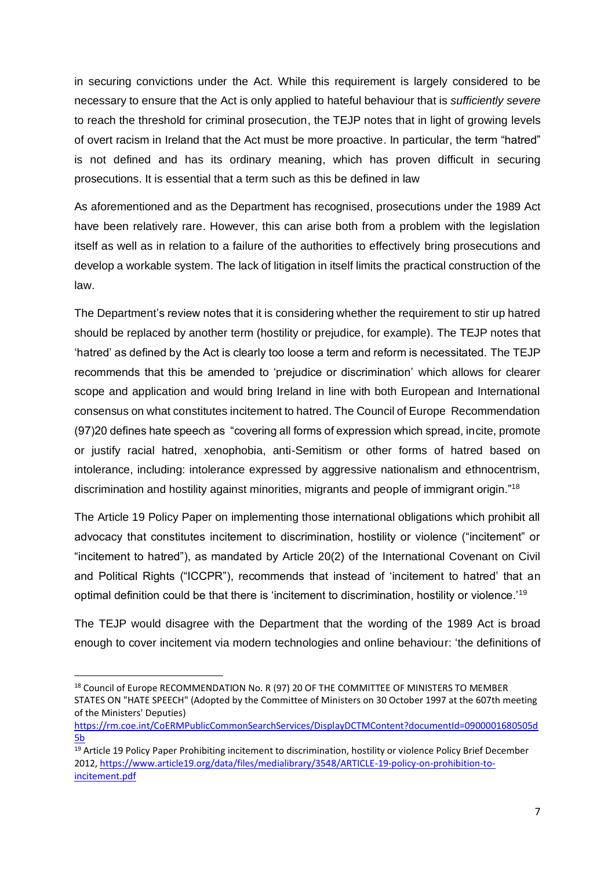in securing convictions under the Act. While this requirement is largely considered to be necessary to ensure that the Act is only applied to hateful behaviour that is *sufficiently severe* to reach the threshold for criminal prosecution, the TEJP notes that in light of growing levels of overt racism in Ireland that the Act must be more proactive. In particular, the term "hatred" is not defined and has its ordinary meaning, which has proven difficult in securing prosecutions. It is essential that a term such as this be defined in law

As aforementioned and as the Department has recognised, prosecutions under the 1989 Act have been relatively rare. However, this can arise both from a problem with the legislation itself as well as in relation to a failure of the authorities to effectively bring prosecutions and develop a workable system. The lack of litigation in itself limits the practical construction of the law.

The Department's review notes that it is considering whether the requirement to stir up hatred should be replaced by another term (hostility or prejudice, for example). The TEJP notes that 'hatred' as defined by the Act is clearly too loose a term and reform is necessitated. The TEJP recommends that this be amended to 'prejudice or discrimination' which allows for clearer scope and application and would bring Ireland in line with both European and International consensus on what constitutes incitement to hatred. The Council of Europe Recommendation (97)20 defines hate speech as "covering all forms of expression which spread, incite, promote or justify racial hatred, xenophobia, anti-Semitism or other forms of hatred based on intolerance, including: intolerance expressed by aggressive nationalism and ethnocentrism, discrimination and hostility against minorities, migrants and people of immigrant origin."<sup>18</sup>

The Article 19 Policy Paper on implementing those international obligations which prohibit all advocacy that constitutes incitement to discrimination, hostility or violence ("incitement" or "incitement to hatred"), as mandated by Article 20(2) of the International Covenant on Civil and Political Rights ("ICCPR"), recommends that instead of 'incitement to hatred' that an optimal definition could be that there is 'incitement to discrimination, hostility or violence.'<sup>19</sup>

The TEJP would disagree with the Department that the wording of the 1989 Act is broad enough to cover incitement via modern technologies and online behaviour: 'the definitions of

<sup>18</sup> Council of Europe RECOMMENDATION No. R (97) 20 OF THE COMMITTEE OF MINISTERS TO MEMBER STATES ON "HATE SPEECH" (Adopted by the Committee of Ministers on 30 October 1997 at the 607th meeting of the Ministers' Deputies)

[https://rm.coe.int/CoERMPublicCommonSearchServices/DisplayDCTMContent?documentId=0900001680505d](https://rm.coe.int/CoERMPublicCommonSearchServices/DisplayDCTMContent?documentId=0900001680505d5b) [5b](https://rm.coe.int/CoERMPublicCommonSearchServices/DisplayDCTMContent?documentId=0900001680505d5b)

<sup>&</sup>lt;sup>19</sup> Article 19 Policy Paper Prohibiting incitement to discrimination, hostility or violence Policy Brief December 2012, [https://www.article19.org/data/files/medialibrary/3548/ARTICLE-19-policy-on-prohibition-to](https://www.article19.org/data/files/medialibrary/3548/ARTICLE-19-policy-on-prohibition-to-incitement.pdf)[incitement.pdf](https://www.article19.org/data/files/medialibrary/3548/ARTICLE-19-policy-on-prohibition-to-incitement.pdf)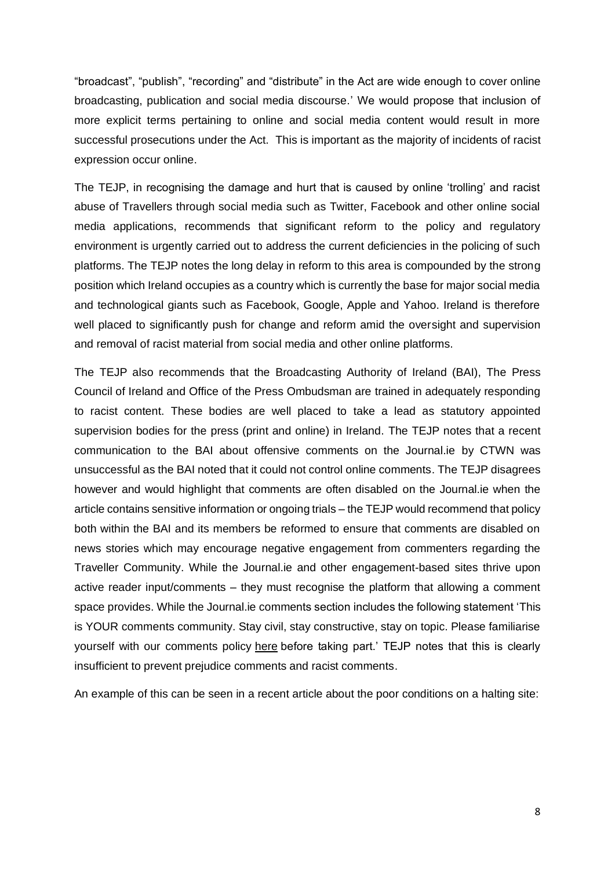"broadcast", "publish", "recording" and "distribute" in the Act are wide enough to cover online broadcasting, publication and social media discourse.' We would propose that inclusion of more explicit terms pertaining to online and social media content would result in more successful prosecutions under the Act. This is important as the majority of incidents of racist expression occur online.

The TEJP, in recognising the damage and hurt that is caused by online 'trolling' and racist abuse of Travellers through social media such as Twitter, Facebook and other online social media applications, recommends that significant reform to the policy and regulatory environment is urgently carried out to address the current deficiencies in the policing of such platforms. The TEJP notes the long delay in reform to this area is compounded by the strong position which Ireland occupies as a country which is currently the base for major social media and technological giants such as Facebook, Google, Apple and Yahoo. Ireland is therefore well placed to significantly push for change and reform amid the oversight and supervision and removal of racist material from social media and other online platforms.

The TEJP also recommends that the Broadcasting Authority of Ireland (BAI), The Press Council of Ireland and Office of the Press Ombudsman are trained in adequately responding to racist content. These bodies are well placed to take a lead as statutory appointed supervision bodies for the press (print and online) in Ireland. The TEJP notes that a recent communication to the BAI about offensive comments on the Journal.ie by CTWN was unsuccessful as the BAI noted that it could not control online comments. The TEJP disagrees however and would highlight that comments are often disabled on the Journal.ie when the article contains sensitive information or ongoing trials – the TEJP would recommend that policy both within the BAI and its members be reformed to ensure that comments are disabled on news stories which may encourage negative engagement from commenters regarding the Traveller Community. While the Journal.ie and other engagement-based sites thrive upon active reader input/comments – they must recognise the platform that allowing a comment space provides. While the Journal.ie comments section includes the following statement 'This is YOUR comments community. Stay civil, stay constructive, stay on topic. Please familiarise yourself with our comments policy [here](https://www.thejournal.ie/comments-policy/#_blank) before taking part.' TEJP notes that this is clearly insufficient to prevent prejudice comments and racist comments.

An example of this can be seen in a recent article about the poor conditions on a halting site: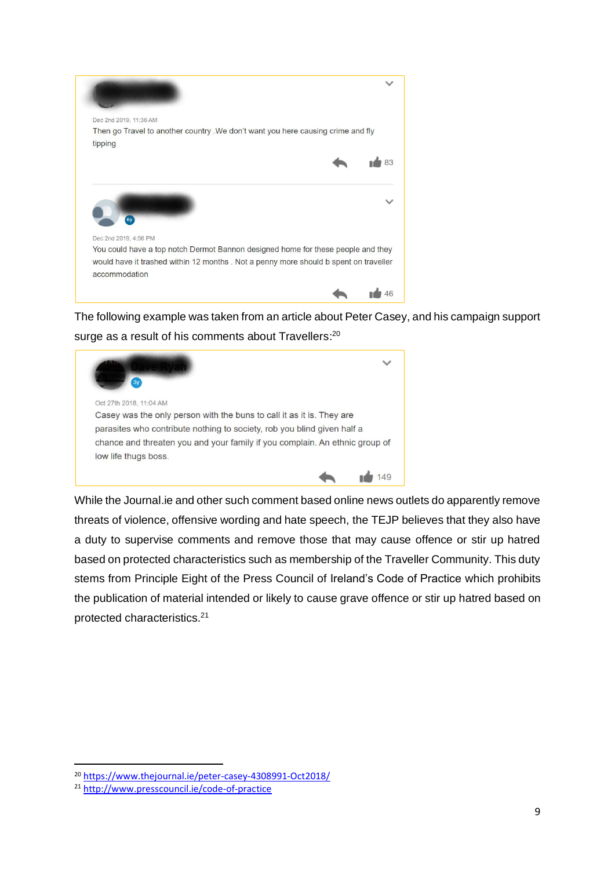

The following example was taken from an article about Peter Casey, and his campaign support surge as a result of his comments about Travellers:<sup>20</sup>



While the Journal.ie and other such comment based online news outlets do apparently remove threats of violence, offensive wording and hate speech, the TEJP believes that they also have a duty to supervise comments and remove those that may cause offence or stir up hatred based on protected characteristics such as membership of the Traveller Community. This duty stems from Principle Eight of the Press Council of Ireland's Code of Practice which prohibits the publication of material intended or likely to cause grave offence or stir up hatred based on protected characteristics.<sup>21</sup>

<sup>20</sup> <https://www.thejournal.ie/peter-casey-4308991-Oct2018/>

<sup>21</sup> <http://www.presscouncil.ie/code-of-practice>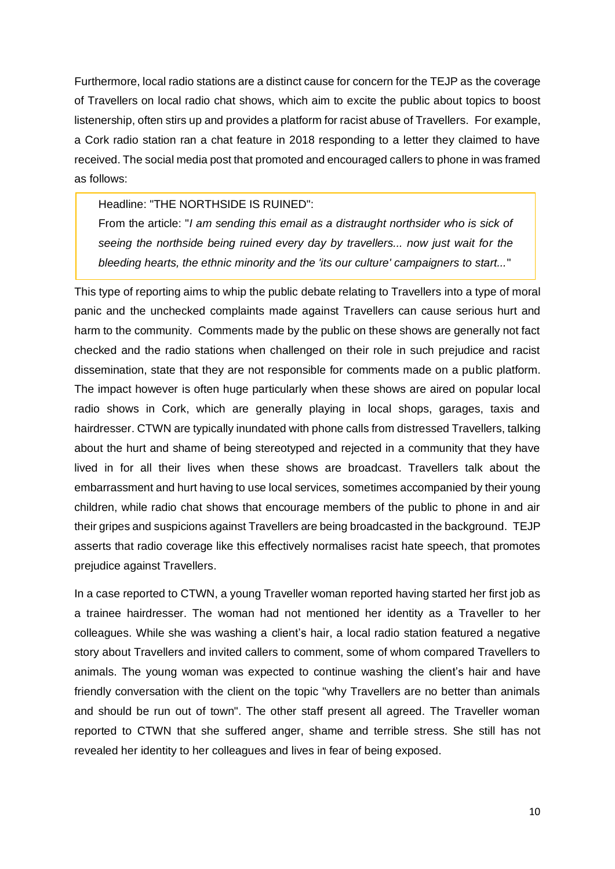Furthermore, local radio stations are a distinct cause for concern for the TEJP as the coverage of Travellers on local radio chat shows, which aim to excite the public about topics to boost listenership, often stirs up and provides a platform for racist abuse of Travellers. For example, a Cork radio station ran a chat feature in 2018 responding to a letter they claimed to have received. The social media post that promoted and encouraged callers to phone in was framed as follows:

#### Headline: "THE NORTHSIDE IS RUINED":

From the article: "*I am sending this email as a distraught northsider who is sick of seeing the northside being ruined every day by travellers... now just wait for the bleeding hearts, the ethnic minority and the 'its our culture' campaigners to start...*"

This type of reporting aims to whip the public debate relating to Travellers into a type of moral panic and the unchecked complaints made against Travellers can cause serious hurt and harm to the community. Comments made by the public on these shows are generally not fact checked and the radio stations when challenged on their role in such prejudice and racist dissemination, state that they are not responsible for comments made on a public platform. The impact however is often huge particularly when these shows are aired on popular local radio shows in Cork, which are generally playing in local shops, garages, taxis and hairdresser. CTWN are typically inundated with phone calls from distressed Travellers, talking about the hurt and shame of being stereotyped and rejected in a community that they have lived in for all their lives when these shows are broadcast. Travellers talk about the embarrassment and hurt having to use local services, sometimes accompanied by their young children, while radio chat shows that encourage members of the public to phone in and air their gripes and suspicions against Travellers are being broadcasted in the background. TEJP asserts that radio coverage like this effectively normalises racist hate speech, that promotes prejudice against Travellers.

In a case reported to CTWN, a young Traveller woman reported having started her first job as a trainee hairdresser. The woman had not mentioned her identity as a Traveller to her colleagues. While she was washing a client's hair, a local radio station featured a negative story about Travellers and invited callers to comment, some of whom compared Travellers to animals. The young woman was expected to continue washing the client's hair and have friendly conversation with the client on the topic "why Travellers are no better than animals and should be run out of town". The other staff present all agreed. The Traveller woman reported to CTWN that she suffered anger, shame and terrible stress. She still has not revealed her identity to her colleagues and lives in fear of being exposed.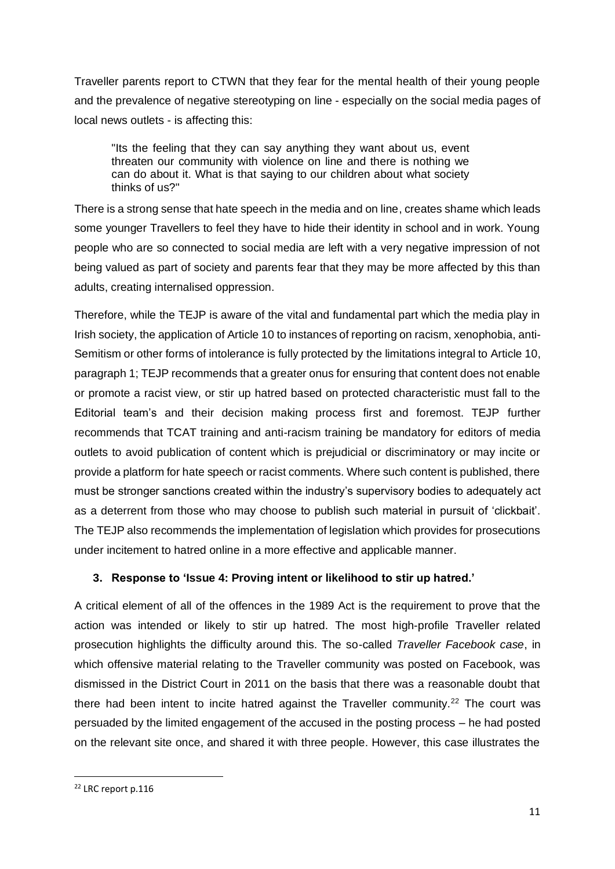Traveller parents report to CTWN that they fear for the mental health of their young people and the prevalence of negative stereotyping on line - especially on the social media pages of local news outlets - is affecting this:

"Its the feeling that they can say anything they want about us, event threaten our community with violence on line and there is nothing we can do about it. What is that saying to our children about what society thinks of us?"

There is a strong sense that hate speech in the media and on line, creates shame which leads some younger Travellers to feel they have to hide their identity in school and in work. Young people who are so connected to social media are left with a very negative impression of not being valued as part of society and parents fear that they may be more affected by this than adults, creating internalised oppression.

Therefore, while the TEJP is aware of the vital and fundamental part which the media play in Irish society, the application of Article 10 to instances of reporting on racism, xenophobia, anti-Semitism or other forms of intolerance is fully protected by the limitations integral to Article 10, paragraph 1; TEJP recommends that a greater onus for ensuring that content does not enable or promote a racist view, or stir up hatred based on protected characteristic must fall to the Editorial team's and their decision making process first and foremost. TEJP further recommends that TCAT training and anti-racism training be mandatory for editors of media outlets to avoid publication of content which is prejudicial or discriminatory or may incite or provide a platform for hate speech or racist comments. Where such content is published, there must be stronger sanctions created within the industry's supervisory bodies to adequately act as a deterrent from those who may choose to publish such material in pursuit of 'clickbait'. The TEJP also recommends the implementation of legislation which provides for prosecutions under incitement to hatred online in a more effective and applicable manner.

## **3. Response to 'Issue 4: Proving intent or likelihood to stir up hatred.'**

A critical element of all of the offences in the 1989 Act is the requirement to prove that the action was intended or likely to stir up hatred. The most high-profile Traveller related prosecution highlights the difficulty around this. The so-called *Traveller Facebook case*, in which offensive material relating to the Traveller community was posted on Facebook, was dismissed in the District Court in 2011 on the basis that there was a reasonable doubt that there had been intent to incite hatred against the Traveller community.<sup>22</sup> The court was persuaded by the limited engagement of the accused in the posting process – he had posted on the relevant site once, and shared it with three people. However, this case illustrates the

<sup>22</sup> LRC report p.116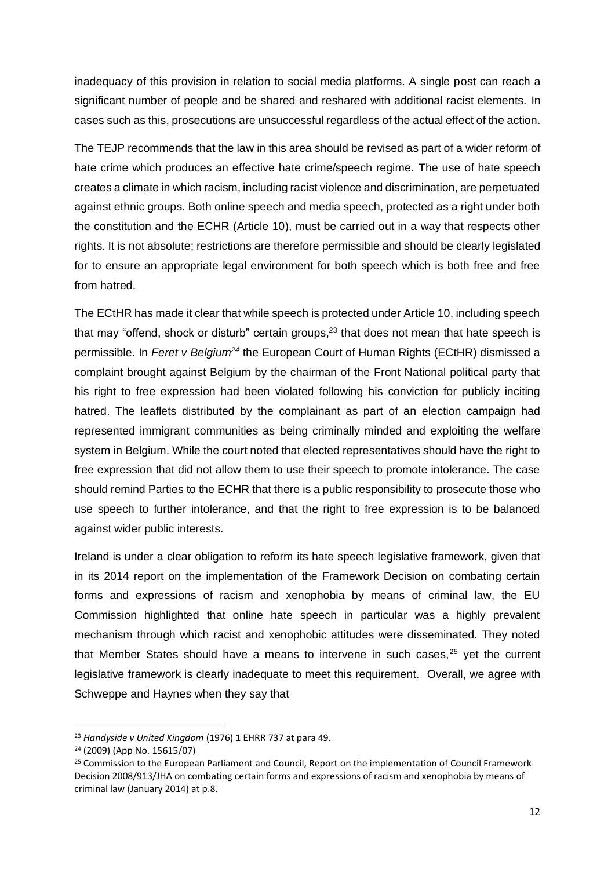inadequacy of this provision in relation to social media platforms. A single post can reach a significant number of people and be shared and reshared with additional racist elements. In cases such as this, prosecutions are unsuccessful regardless of the actual effect of the action.

The TEJP recommends that the law in this area should be revised as part of a wider reform of hate crime which produces an effective hate crime/speech regime. The use of hate speech creates a climate in which racism, including racist violence and discrimination, are perpetuated against ethnic groups. Both online speech and media speech, protected as a right under both the constitution and the ECHR (Article 10), must be carried out in a way that respects other rights. It is not absolute; restrictions are therefore permissible and should be clearly legislated for to ensure an appropriate legal environment for both speech which is both free and free from hatred.

The ECtHR has made it clear that while speech is protected under Article 10, including speech that may "offend, shock or disturb" certain groups, $23$  that does not mean that hate speech is permissible. In *Feret v Belgium<sup>24</sup>* the European Court of Human Rights (ECtHR) dismissed a complaint brought against Belgium by the chairman of the Front National political party that his right to free expression had been violated following his conviction for publicly inciting hatred. The leaflets distributed by the complainant as part of an election campaign had represented immigrant communities as being criminally minded and exploiting the welfare system in Belgium. While the court noted that elected representatives should have the right to free expression that did not allow them to use their speech to promote intolerance. The case should remind Parties to the ECHR that there is a public responsibility to prosecute those who use speech to further intolerance, and that the right to free expression is to be balanced against wider public interests.

Ireland is under a clear obligation to reform its hate speech legislative framework, given that in its 2014 report on the implementation of the Framework Decision on combating certain forms and expressions of racism and xenophobia by means of criminal law, the EU Commission highlighted that online hate speech in particular was a highly prevalent mechanism through which racist and xenophobic attitudes were disseminated. They noted that Member States should have a means to intervene in such cases, $25$  yet the current legislative framework is clearly inadequate to meet this requirement. Overall, we agree with Schweppe and Haynes when they say that

<sup>23</sup> *Handyside v United Kingdom* (1976) 1 EHRR 737 at para 49.

<sup>24</sup> (2009) (App No. 15615/07)

<sup>&</sup>lt;sup>25</sup> Commission to the European Parliament and Council, Report on the implementation of Council Framework Decision 2008/913/JHA on combating certain forms and expressions of racism and xenophobia by means of criminal law (January 2014) at p.8.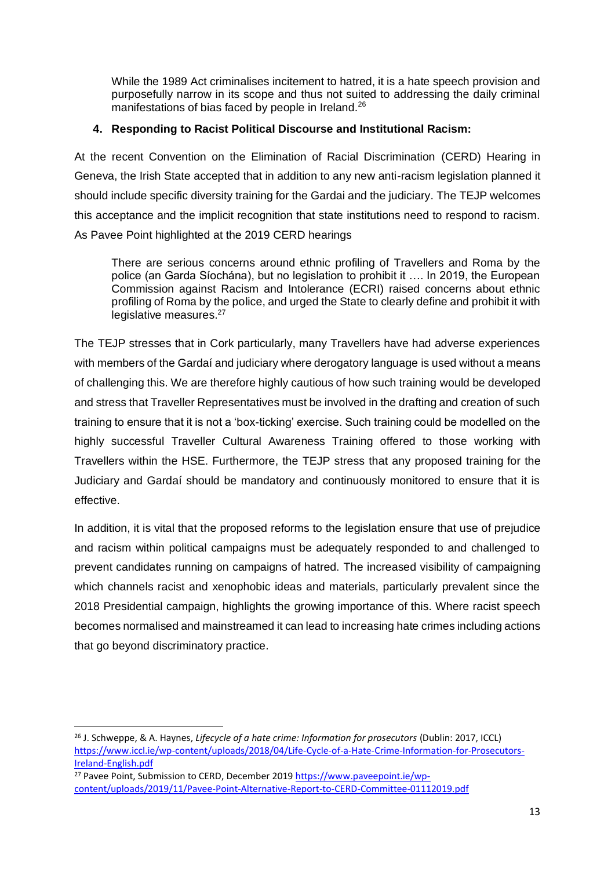While the 1989 Act criminalises incitement to hatred, it is a hate speech provision and purposefully narrow in its scope and thus not suited to addressing the daily criminal manifestations of bias faced by people in Ireland.<sup>26</sup>

## **4. Responding to Racist Political Discourse and Institutional Racism:**

At the recent Convention on the Elimination of Racial Discrimination (CERD) Hearing in Geneva, the Irish State accepted that in addition to any new anti-racism legislation planned it should include specific diversity training for the Gardai and the judiciary. The TEJP welcomes this acceptance and the implicit recognition that state institutions need to respond to racism. As Pavee Point highlighted at the 2019 CERD hearings

There are serious concerns around ethnic profiling of Travellers and Roma by the police (an Garda Síochána), but no legislation to prohibit it …. In 2019, the European Commission against Racism and Intolerance (ECRI) raised concerns about ethnic profiling of Roma by the police, and urged the State to clearly define and prohibit it with legislative measures.<sup>27</sup>

The TEJP stresses that in Cork particularly, many Travellers have had adverse experiences with members of the Gardaí and judiciary where derogatory language is used without a means of challenging this. We are therefore highly cautious of how such training would be developed and stress that Traveller Representatives must be involved in the drafting and creation of such training to ensure that it is not a 'box-ticking' exercise. Such training could be modelled on the highly successful Traveller Cultural Awareness Training offered to those working with Travellers within the HSE. Furthermore, the TEJP stress that any proposed training for the Judiciary and Gardaí should be mandatory and continuously monitored to ensure that it is effective.

In addition, it is vital that the proposed reforms to the legislation ensure that use of prejudice and racism within political campaigns must be adequately responded to and challenged to prevent candidates running on campaigns of hatred. The increased visibility of campaigning which channels racist and xenophobic ideas and materials, particularly prevalent since the 2018 Presidential campaign, highlights the growing importance of this. Where racist speech becomes normalised and mainstreamed it can lead to increasing hate crimes including actions that go beyond discriminatory practice.

<sup>26</sup> J. Schweppe, & A. Haynes, *Lifecycle of a hate crime: Information for prosecutors* (Dublin: 2017, ICCL) [https://www.iccl.ie/wp-content/uploads/2018/04/Life-Cycle-of-a-Hate-Crime-Information-for-Prosecutors-](https://www.iccl.ie/wp-content/uploads/2018/04/Life-Cycle-of-a-Hate-Crime-Information-for-Prosecutors-Ireland-English.pdf)[Ireland-English.pdf](https://www.iccl.ie/wp-content/uploads/2018/04/Life-Cycle-of-a-Hate-Crime-Information-for-Prosecutors-Ireland-English.pdf)

 $27$  Pavee Point, Submission to CERD, December 2019 [https://www.paveepoint.ie/wp](https://www.paveepoint.ie/wp-content/uploads/2019/11/Pavee-Point-Alternative-Report-to-CERD-Committee-01112019.pdf)[content/uploads/2019/11/Pavee-Point-Alternative-Report-to-CERD-Committee-01112019.pdf](https://www.paveepoint.ie/wp-content/uploads/2019/11/Pavee-Point-Alternative-Report-to-CERD-Committee-01112019.pdf)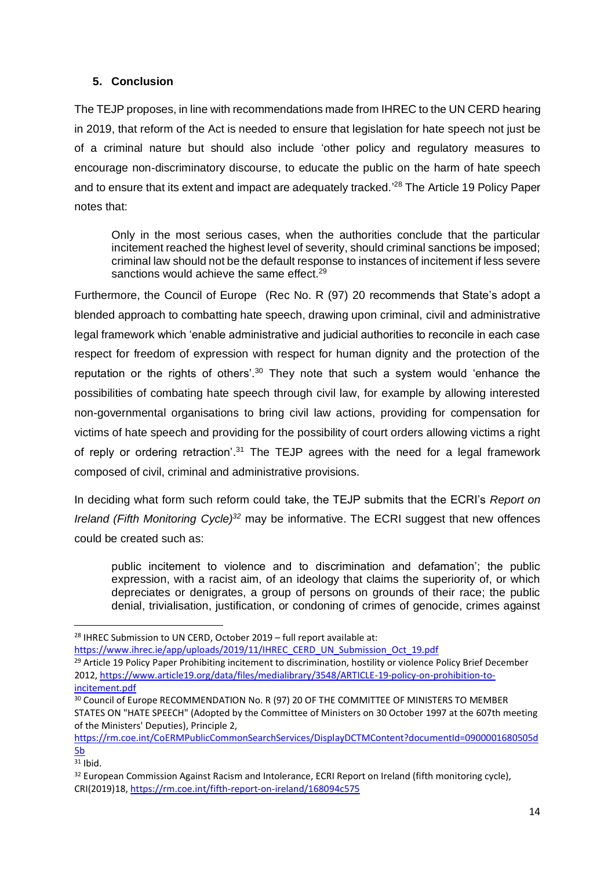## **5. Conclusion**

The TEJP proposes, in line with recommendations made from IHREC to the UN CERD hearing in 2019, that reform of the Act is needed to ensure that legislation for hate speech not just be of a criminal nature but should also include 'other policy and regulatory measures to encourage non-discriminatory discourse, to educate the public on the harm of hate speech and to ensure that its extent and impact are adequately tracked.' <sup>28</sup> The Article 19 Policy Paper notes that:

Only in the most serious cases, when the authorities conclude that the particular incitement reached the highest level of severity, should criminal sanctions be imposed; criminal law should not be the default response to instances of incitement if less severe sanctions would achieve the same effect.<sup>29</sup>

Furthermore, the Council of Europe (Rec No. R (97) 20 recommends that State's adopt a blended approach to combatting hate speech, drawing upon criminal, civil and administrative legal framework which 'enable administrative and judicial authorities to reconcile in each case respect for freedom of expression with respect for human dignity and the protection of the reputation or the rights of others'.<sup>30</sup> They note that such a system would 'enhance the possibilities of combating hate speech through civil law, for example by allowing interested non-governmental organisations to bring civil law actions, providing for compensation for victims of hate speech and providing for the possibility of court orders allowing victims a right of reply or ordering retraction'.<sup>31</sup> The TEJP agrees with the need for a legal framework composed of civil, criminal and administrative provisions.

In deciding what form such reform could take, the TEJP submits that the ECRI's *Report on Ireland (Fifth Monitoring Cycle) <sup>32</sup>* may be informative. The ECRI suggest that new offences could be created such as:

public incitement to violence and to discrimination and defamation'; the public expression, with a racist aim, of an ideology that claims the superiority of, or which depreciates or denigrates, a group of persons on grounds of their race; the public denial, trivialisation, justification, or condoning of crimes of genocide, crimes against

<sup>&</sup>lt;sup>28</sup> IHREC Submission to UN CERD, October 2019 – full report available at:

[https://www.ihrec.ie/app/uploads/2019/11/IHREC\\_CERD\\_UN\\_Submission\\_Oct\\_19.pdf](https://www.ihrec.ie/app/uploads/2019/11/IHREC_CERD_UN_Submission_Oct_19.pdf)

<sup>&</sup>lt;sup>29</sup> Article 19 Policy Paper Prohibiting incitement to discrimination, hostility or violence Policy Brief December 2012, [https://www.article19.org/data/files/medialibrary/3548/ARTICLE-19-policy-on-prohibition-to](https://www.article19.org/data/files/medialibrary/3548/ARTICLE-19-policy-on-prohibition-to-incitement.pdf)[incitement.pdf](https://www.article19.org/data/files/medialibrary/3548/ARTICLE-19-policy-on-prohibition-to-incitement.pdf)

<sup>&</sup>lt;sup>30</sup> Council of Europe RECOMMENDATION No. R (97) 20 OF THE COMMITTEE OF MINISTERS TO MEMBER STATES ON "HATE SPEECH" (Adopted by the Committee of Ministers on 30 October 1997 at the 607th meeting of the Ministers' Deputies), Principle 2,

[https://rm.coe.int/CoERMPublicCommonSearchServices/DisplayDCTMContent?documentId=0900001680505d](https://rm.coe.int/CoERMPublicCommonSearchServices/DisplayDCTMContent?documentId=0900001680505d5b)  $5<sub>b</sub>$ 

 $31$  Ibid.

<sup>&</sup>lt;sup>32</sup> European Commission Against Racism and Intolerance, ECRI Report on Ireland (fifth monitoring cycle), CRI(2019)18[, https://rm.coe.int/fifth-report-on-ireland/168094c575](https://rm.coe.int/fifth-report-on-ireland/168094c575)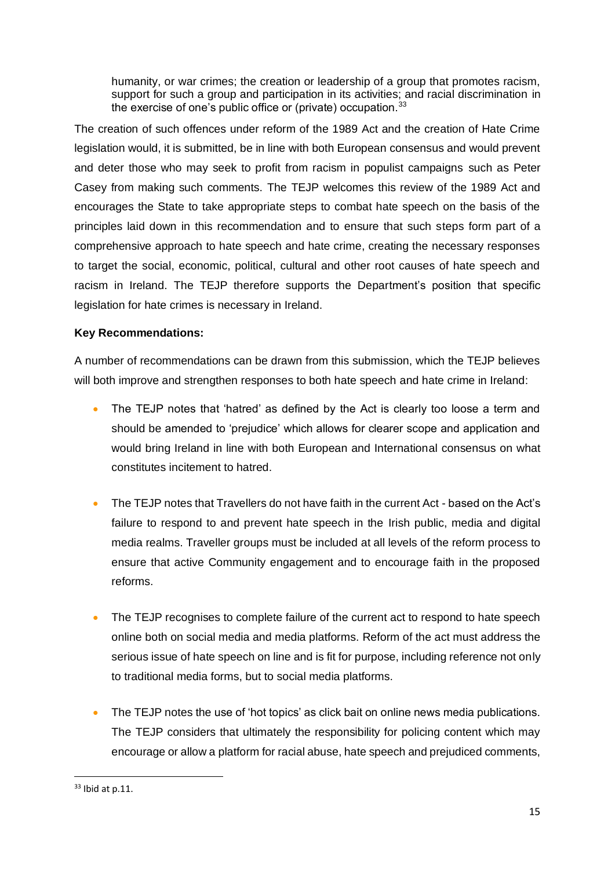humanity, or war crimes; the creation or leadership of a group that promotes racism, support for such a group and participation in its activities; and racial discrimination in the exercise of one's public office or (private) occupation.<sup>33</sup>

The creation of such offences under reform of the 1989 Act and the creation of Hate Crime legislation would, it is submitted, be in line with both European consensus and would prevent and deter those who may seek to profit from racism in populist campaigns such as Peter Casey from making such comments. The TEJP welcomes this review of the 1989 Act and encourages the State to take appropriate steps to combat hate speech on the basis of the principles laid down in this recommendation and to ensure that such steps form part of a comprehensive approach to hate speech and hate crime, creating the necessary responses to target the social, economic, political, cultural and other root causes of hate speech and racism in Ireland. The TEJP therefore supports the Department's position that specific legislation for hate crimes is necessary in Ireland.

## **Key Recommendations:**

A number of recommendations can be drawn from this submission, which the TEJP believes will both improve and strengthen responses to both hate speech and hate crime in Ireland:

- The TEJP notes that 'hatred' as defined by the Act is clearly too loose a term and should be amended to 'prejudice' which allows for clearer scope and application and would bring Ireland in line with both European and International consensus on what constitutes incitement to hatred.
- The TEJP notes that Travellers do not have faith in the current Act based on the Act's failure to respond to and prevent hate speech in the Irish public, media and digital media realms. Traveller groups must be included at all levels of the reform process to ensure that active Community engagement and to encourage faith in the proposed reforms.
- The TEJP recognises to complete failure of the current act to respond to hate speech online both on social media and media platforms. Reform of the act must address the serious issue of hate speech on line and is fit for purpose, including reference not only to traditional media forms, but to social media platforms.
- The TEJP notes the use of 'hot topics' as click bait on online news media publications. The TEJP considers that ultimately the responsibility for policing content which may encourage or allow a platform for racial abuse, hate speech and prejudiced comments,

<sup>33</sup> Ibid at p.11.